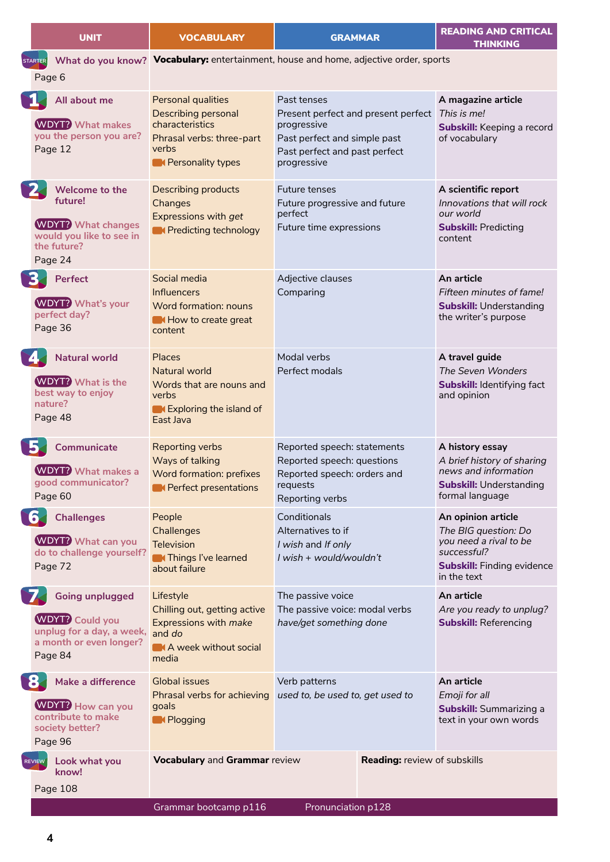|           | <b>UNIT</b>                                                                                                         | <b>VOCABULARY</b>                                                                                                              | <b>GRAMMAR</b>                                                                                                                                                | <b>READING AND CRITICAL</b><br><b>THINKING</b>                                                                                          |
|-----------|---------------------------------------------------------------------------------------------------------------------|--------------------------------------------------------------------------------------------------------------------------------|---------------------------------------------------------------------------------------------------------------------------------------------------------------|-----------------------------------------------------------------------------------------------------------------------------------------|
|           | STARTER<br>Page 6                                                                                                   |                                                                                                                                | What do you know? Vocabulary: entertainment, house and home, adjective order, sports                                                                          |                                                                                                                                         |
| N.        | All about me<br><b>WDYT?</b> What makes<br>you the person you are?<br>Page 12                                       | Personal qualities<br><b>Describing personal</b><br>characteristics<br>Phrasal verbs: three-part<br>verbs<br>Rersonality types | Past tenses<br>Present perfect and present perfect This is me!<br>progressive<br>Past perfect and simple past<br>Past perfect and past perfect<br>progressive | A magazine article<br><b>Subskill:</b> Keeping a record<br>of vocabulary                                                                |
| 2         | Welcome to the<br>future!<br><b>WDYT?</b> What changes<br>would you like to see in<br>the future?<br>Page 24        | <b>Describing products</b><br>Changes<br><b>Expressions with get</b><br><b>N</b> Predicting technology                         | Future tenses<br>Future progressive and future<br>perfect<br>Future time expressions                                                                          | A scientific report<br>Innovations that will rock<br>our world<br><b>Subskill: Predicting</b><br>content                                |
| 3.        | Perfect<br><b>WDYT?</b> What's your<br>perfect day?<br>Page 36                                                      | Social media<br>Influencers<br><b>Word formation: nouns</b><br>How to create great<br>content                                  | Adjective clauses<br>Comparing                                                                                                                                | An article<br>Fifteen minutes of fame!<br><b>Subskill: Understanding</b><br>the writer's purpose                                        |
| <b>EA</b> | <b>Natural world</b><br><b>WDYT?</b> What is the<br>best way to enjoy<br>nature?<br>Page 48                         | Places<br>Natural world<br>Words that are nouns and<br>verbs<br>Exploring the island of<br>East Java                           | Modal verbs<br>Perfect modals                                                                                                                                 | A travel guide<br>The Seven Wonders<br><b>Subskill: Identifying fact</b><br>and opinion                                                 |
| Ъ         | Communicate<br><b>WDYT?</b> What makes a<br>good communicator?<br>Page 60                                           | <b>Reporting verbs</b><br>Ways of talking<br><b>Word formation: prefixes</b><br><b>N</b> Perfect presentations                 | Reported speech: statements<br>Reported speech: questions<br>Reported speech: orders and<br>requests<br>Reporting verbs                                       | A history essay<br>A brief history of sharing<br>news and information<br><b>Subskill: Understanding</b><br>formal language              |
|           | $\bf{6}$<br><b>Challenges</b><br><b>WDYT?</b> What can you<br>do to challenge yourself?<br>Page 72                  | People<br>Challenges<br>Television<br><b>MThings I've learned</b><br>about failure                                             | Conditionals<br>Alternatives to if<br>I wish and If only<br>I wish + would/wouldn't                                                                           | An opinion article<br>The BIG question: Do<br>you need a rival to be<br>successful?<br><b>Subskill: Finding evidence</b><br>in the text |
| 7.        | <b>Going unplugged</b><br><b>WDYT?</b> Could you<br>unplug for a day, a week,<br>a month or even longer?<br>Page 84 | Lifestyle<br>Chilling out, getting active<br>Expressions with make<br>and do<br>A week without social<br>media                 | The passive voice<br>The passive voice: modal verbs<br>have/get something done                                                                                | An article<br>Are you ready to unplug?<br><b>Subskill: Referencing</b>                                                                  |
| <b>8.</b> | Make a difference<br><b>WDYT?</b> How can you<br>contribute to make<br>society better?<br>Page 96                   | <b>Global issues</b><br>Phrasal verbs for achieving<br>goals<br>Relogging                                                      | Verb patterns<br>used to, be used to, get used to                                                                                                             | An article<br>Emoji for all<br><b>Subskill:</b> Summarizing a<br>text in your own words                                                 |
|           | REVIEW<br>Look what you<br>know!<br>Page 108                                                                        | <b>Vocabulary and Grammar review</b><br>Grammar bootcamp p116                                                                  | Reading: review of subskills<br>Pronunciation p128                                                                                                            |                                                                                                                                         |